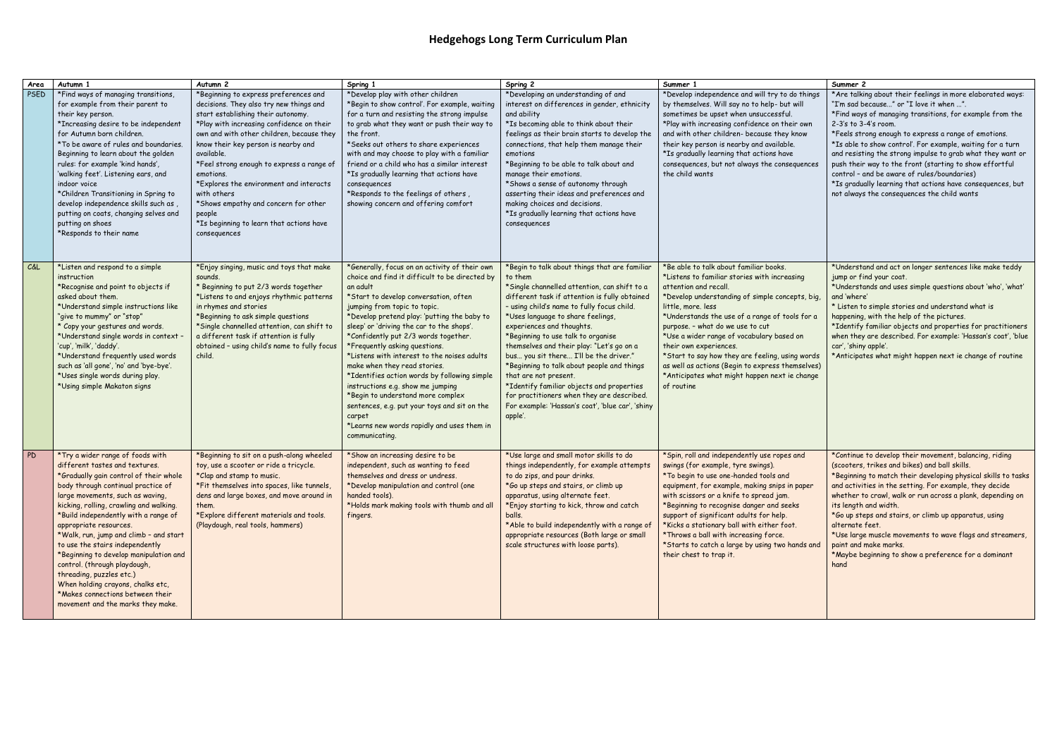## **Hedgehogs Long Term Curriculum Plan**

| Area      | Autumn 1                                                                                                                                                                                                                                                                                                                                                                                                                                                                                                                                                                                             | Autumn <sub>2</sub>                                                                                                                                                                                                                                                                                                                                                                                                                                                                                     | Spring 1                                                                                                                                                                                                                                                                                                                                                                                                                                                                                                                                                                                                                                                                                     | Spring 2                                                                                                                                                                                                                                                                                                                                                                                                                                                                                                                                                                                                                                | Summer 1                                                                                                                                                                                                                                                                                                                                                                                                                                                                                                                   | Summer 2                                                                                                                                                                                                                                                                                                                                                                                                                                                                                                                                                                                              |
|-----------|------------------------------------------------------------------------------------------------------------------------------------------------------------------------------------------------------------------------------------------------------------------------------------------------------------------------------------------------------------------------------------------------------------------------------------------------------------------------------------------------------------------------------------------------------------------------------------------------------|---------------------------------------------------------------------------------------------------------------------------------------------------------------------------------------------------------------------------------------------------------------------------------------------------------------------------------------------------------------------------------------------------------------------------------------------------------------------------------------------------------|----------------------------------------------------------------------------------------------------------------------------------------------------------------------------------------------------------------------------------------------------------------------------------------------------------------------------------------------------------------------------------------------------------------------------------------------------------------------------------------------------------------------------------------------------------------------------------------------------------------------------------------------------------------------------------------------|-----------------------------------------------------------------------------------------------------------------------------------------------------------------------------------------------------------------------------------------------------------------------------------------------------------------------------------------------------------------------------------------------------------------------------------------------------------------------------------------------------------------------------------------------------------------------------------------------------------------------------------------|----------------------------------------------------------------------------------------------------------------------------------------------------------------------------------------------------------------------------------------------------------------------------------------------------------------------------------------------------------------------------------------------------------------------------------------------------------------------------------------------------------------------------|-------------------------------------------------------------------------------------------------------------------------------------------------------------------------------------------------------------------------------------------------------------------------------------------------------------------------------------------------------------------------------------------------------------------------------------------------------------------------------------------------------------------------------------------------------------------------------------------------------|
| PSED      | *Find ways of managing transitions,<br>for example from their parent to<br>their key person.<br>*Increasing desire to be independent<br>for Autumn born children.<br>*To be aware of rules and boundaries.<br>Beginning to learn about the golden<br>rules: for example 'kind hands',<br>'walking feet'. Listening ears, and<br>indoor voice<br>*Children Transitioning in Spring to<br>develop independence skills such as<br>putting on coats, changing selves and<br>putting on shoes<br>*Responds to their name                                                                                  | *Beginning to express preferences and<br>decisions. They also try new things and<br>start establishing their autonomy.<br>*Play with increasing confidence on their<br>own and with other children, because they<br>know their key person is nearby and<br>available.<br>*Feel strong enough to express a range of<br>emotions.<br>*Explores the environment and interacts<br>with others<br>*Shows empathy and concern for other<br>people<br>*Is beginning to learn that actions have<br>consequences | *Develop play with other children<br>*Begin to show control'. For example, waiting<br>for a turn and resisting the strong impulse<br>to grab what they want or push their way to<br>the front.<br>*Seeks out others to share experiences<br>with and may choose to play with a familiar<br>friend or a child who has a similar interest<br>*Is gradually learning that actions have<br>consequences<br>*Responds to the feelings of others,<br>showing concern and offering comfort                                                                                                                                                                                                          | *Developing an understanding of and<br>interest on differences in gender, ethnicity<br>and ability<br>*Is becoming able to think about their<br>feelings as their brain starts to develop the<br>connections, that help them manage their<br>emotions<br>*Beginning to be able to talk about and<br>manage their emotions.<br>*Shows a sense of autonomy through<br>asserting their ideas and preferences and<br>making choices and decisions.<br>*Is gradually learning that actions have<br>consequences                                                                                                                              | *Develop independence and will try to do things<br>by themselves. Will say no to help- but will<br>sometimes be upset when unsuccessful.<br>*Play with increasing confidence on their own<br>and with other children- because they know<br>their key person is nearby and available.<br>*Is gradually learning that actions have<br>consequences, but not always the consequences<br>the child wants                                                                                                                       | * Are talking about their feelings in more elaborated ways:<br>"I'm sad because" or "I love it when ".<br>*Find ways of managing transitions, for example from the<br>2-3's to 3-4's room.<br>*Feels strong enough to express a range of emotions.<br>*Is able to show control'. For example, waiting for a turn<br>and resisting the strong impulse to grab what they want or<br>push their way to the front (starting to show effortful<br>control - and be aware of rules/boundaries)<br>*Is gradually learning that actions have consequences, but<br>not always the consequences the child wants |
| C&L       | *Listen and respond to a simple<br>instruction<br>*Recognise and point to objects if<br>asked about them.<br>*Understand simple instructions like<br>"give to mummy" or "stop"<br>* Copy your gestures and words.<br>*Understand single words in context -<br>'cup', 'milk', 'daddy'.<br>*Understand frequently used words<br>such as 'all gone', 'no' and 'bye-bye'.<br>*Uses single words during play.<br>*Using simple Makaton signs                                                                                                                                                              | *Enjoy singing, music and toys that make<br>sounds.<br>* Beginning to put 2/3 words together<br>*Listens to and enjoys rhythmic patterns<br>in rhymes and stories<br>*Beginning to ask simple questions<br>*Single channelled attention, can shift to<br>a different task if attention is fully<br>obtained - using child's name to fully focus<br>child.                                                                                                                                               | *Generally, focus on an activity of their own<br>choice and find it difficult to be directed by<br>an adult<br>*Start to develop conversation, often<br>jumping from topic to topic.<br>*Develop pretend play: 'putting the baby to<br>sleep' or 'driving the car to the shops'.<br>*Confidently put 2/3 words together.<br>*Frequently asking questions.<br>*Listens with interest to the noises adults<br>make when they read stories.<br>*Identifies action words by following simple<br>instructions e.g. show me jumping<br>*Begin to understand more complex<br>sentences, e.g. put your toys and sit on the<br>carpet<br>*Learns new words rapidly and uses them in<br>communicating. | *Begin to talk about things that are familiar<br>to them<br>*Single channelled attention, can shift to a<br>different task if attention is fully obtained<br>- using child's name to fully focus child.<br>*Uses language to share feelings,<br>experiences and thoughts.<br>*Beginning to use talk to organise<br>themselves and their play: "Let's go on a<br>bus you sit there I'll be the driver."<br>*Beginning to talk about people and things<br>that are not present.<br>*Identify familiar objects and properties<br>for practitioners when they are described.<br>For example: 'Hassan's coat', 'blue car', 'shiny<br>apple'. | *Be able to talk about familiar books.<br>*Listens to familiar stories with increasing<br>attention and recall<br>*Develop understanding of simple concepts, big,<br>little, more. less<br>*Understands the use of a range of tools for a<br>purpose. - what do we use to cut<br>*Use a wider range of vocabulary based on<br>their own experiences.<br>*Start to say how they are feeling, using words<br>as well as actions (Begin to express themselves)<br>*Anticipates what might happen next ie change<br>of routine | *Understand and act on longer sentences like make teddy<br>jump or find your coat.<br>*Understands and uses simple questions about 'who', 'what'<br>and 'where'<br>* Listen to simple stories and understand what is<br>happening, with the help of the pictures.<br>*Identify familiar objects and properties for practitioners<br>when they are described. For example: 'Hassan's coat', 'blue<br>car', 'shiny apple'.<br>*Anticipates what might happen next ie change of routine                                                                                                                  |
| <b>PD</b> | *Try a wider range of foods with<br>different tastes and textures.<br>*Gradually gain control of their whole<br>body through continual practice of<br>large movements, such as waving,<br>kicking, rolling, crawling and walking.<br>*Build independently with a range of<br>appropriate resources.<br>*Walk, run, jump and climb - and start<br>to use the stairs independently<br>*Beginning to develop manipulation and<br>control. (through playdough,<br>threading, puzzles etc.)<br>When holding crayons, chalks etc,<br>*Makes connections between their<br>movement and the marks they make. | *Beginning to sit on a push-along wheeled<br>toy, use a scooter or ride a tricycle.<br>*Clap and stamp to music.<br>*Fit themselves into spaces, like tunnels,<br>dens and large boxes, and move around in<br>them.<br>*Explore different materials and tools.<br>(Playdough, real tools, hammers)                                                                                                                                                                                                      | *Show an increasing desire to be<br>independent, such as wanting to feed<br>themselves and dress or undress.<br>*Develop manipulation and control (one<br>handed tools).<br>*Holds mark making tools with thumb and all<br>fingers.                                                                                                                                                                                                                                                                                                                                                                                                                                                          | *Use large and small motor skills to do<br>things independently, for example attempts<br>to do zips, and pour drinks.<br>*Go up steps and stairs, or climb up<br>apparatus, using alternate feet.<br>*Enjoy starting to kick, throw and catch<br>balls.<br>*Able to build independently with a range of<br>appropriate resources (Both large or small<br>scale structures with loose parts).                                                                                                                                                                                                                                            | *Spin, roll and independently use ropes and<br>swings (for example, tyre swings).<br>*To begin to use one-handed tools and<br>equipment, for example, making snips in paper<br>with scissors or a knife to spread jam.<br>*Beginning to recognise danger and seeks<br>support of significant adults for help.<br>*Kicks a stationary ball with either foot.<br>*Throws a ball with increasing force.<br>*Starts to catch a large by using two hands and<br>their chest to trap it.                                         | *Continue to develop their movement, balancing, riding<br>(scooters, trikes and bikes) and ball skills.<br>*Beginning to match their developing physical skills to tasks<br>and activities in the setting. For example, they decide<br>whether to crawl, walk or run across a plank, depending on<br>its length and width.<br>*Go up steps and stairs, or climb up apparatus, using<br>alternate feet.<br>*Use large muscle movements to wave flags and streamers,<br>paint and make marks.<br>*Maybe beginning to show a preference for a dominant<br>hand                                           |